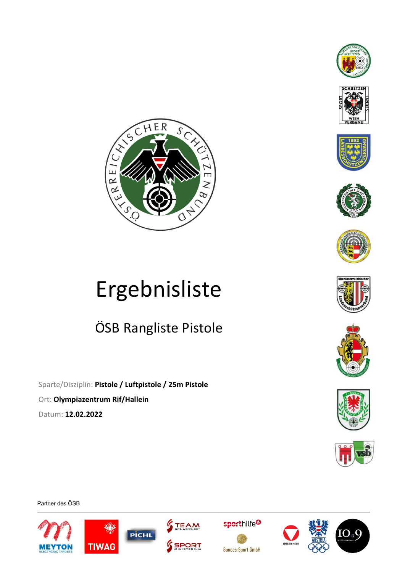









# Ergebnisliste

SCHER

ERREI

LO.O.

SCHOOL

 $\overline{1}$ 

**CALCOR** 

## ÖSB Rangliste Pistole

Sparte/Disziplin: **Pistole / Luftpistole / 25m Pistole** Ort: **Olympiazentrum Rif/Hallein** Datum: **12.02.2022**









Partner des ÖSB





**PİCHL** 







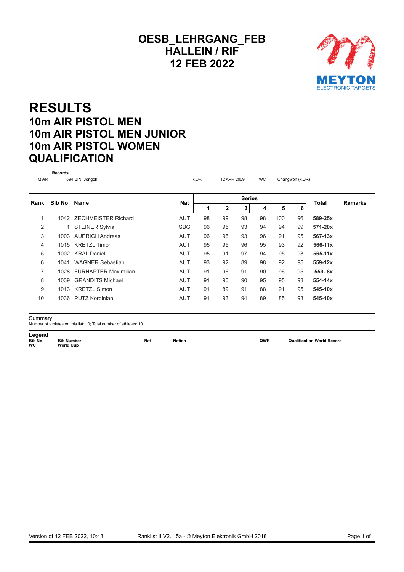#### **OESB\_LEHRGANG\_FEB HALLEIN / RIF 12 FEB 2022**



### **RESULTS 10m AIR PISTOL MEN 10m AIR PISTOL MEN JUNIOR 10m AIR PISTOL WOMEN QUALIFICATION**

| QWR           |        | 594 JIN, Jongoh          |            | <b>KOR</b>    | 12 APR 2009  |    | <b>WC</b> | Changwon (KOR) |    |              |                |
|---------------|--------|--------------------------|------------|---------------|--------------|----|-----------|----------------|----|--------------|----------------|
|               | Bib No | Name                     | <b>Nat</b> | <b>Series</b> |              |    |           |                |    |              |                |
| <b>Rank</b> l |        |                          |            |               | $\mathbf{2}$ | 3  | 4         | 5              | 6  | <b>Total</b> | <b>Remarks</b> |
| 1             |        | 1042 ZECHMEISTER Richard | <b>AUT</b> | 98            | 99           | 98 | 98        | 100            | 96 | 589-25x      |                |
| 2             |        | <b>STEINER Sylvia</b>    | <b>SBG</b> | 96            | 95           | 93 | 94        | 94             | 99 | 571-20x      |                |
| 3             | 1003   | <b>AUPRICH Andreas</b>   | <b>AUT</b> | 96            | 96           | 93 | 96        | 91             | 95 | $567 - 13x$  |                |
| 4             |        | 1015 KRETZL Timon        | <b>AUT</b> | 95            | 95           | 96 | 95        | 93             | 92 | $566-11x$    |                |
| 5             | 1002   | <b>KRAL Daniel</b>       | <b>AUT</b> | 95            | 91           | 97 | 94        | 95             | 93 | $565 - 11x$  |                |
| 6             | 1041   | <b>WAGNER Sebastian</b>  | <b>AUT</b> | 93            | 92           | 89 | 98        | 92             | 95 | $559-12x$    |                |
| 7             | 1028   | FÜRHAPTER Maximilian     | <b>AUT</b> | 91            | 96           | 91 | 90        | 96             | 95 | $559 - 8x$   |                |
| 8             | 1039   | <b>GRANDITS Michael</b>  | <b>AUT</b> | 91            | 90           | 90 | 95        | 95             | 93 | 554-14x      |                |
| 9             | 1013   | <b>KRETZL Simon</b>      | <b>AUT</b> | 91            | 89           | 91 | 88        | 91             | 95 | 545-10x      |                |
| 10            | 1036   | PUTZ Korbinian           | <b>AUT</b> | 91            | 93           | 94 | 89        | 85             | 93 | 545-10x      |                |

**Records**

 ${\sf Summary} \over {\sf Number~}$  of athletes on this list: 10; Total number of athletes: 10

**Legend**<br>Bib No<br>WC **B Nation Bibb Nation QWR Qualification World Record Bib Number**<br>World Cup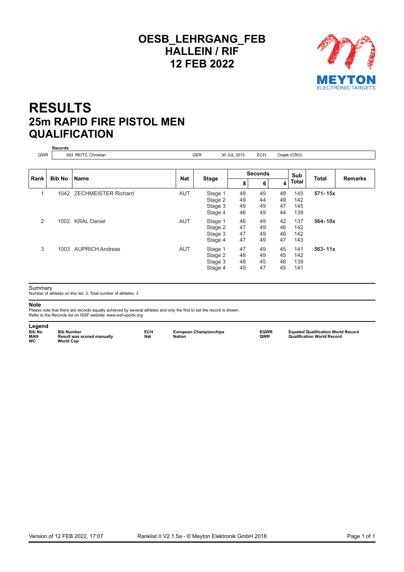#### **OESB\_LEHRGANG\_FEB HALLEIN / RIF FEB 2022**



### **RESULTS 25m RAPID FIRE PISTOL MEN QUALIFICATION**

| QWR  |        | 593 REITZ, Christian     |            | GER<br><b>ECH</b><br>30 JUL 2013<br>Osijek (CRO) |                      |                      |                      |                          |             |                |
|------|--------|--------------------------|------------|--------------------------------------------------|----------------------|----------------------|----------------------|--------------------------|-------------|----------------|
|      | Bib No | <b>Name</b>              | <b>Nat</b> | <b>Stage</b>                                     | <b>Seconds</b>       |                      |                      | Sub                      |             |                |
| Rank |        |                          |            |                                                  | 8                    | 6                    | 4                    | <b>Total</b>             | Total       | <b>Remarks</b> |
| 1    |        | 1042 ZECHMEISTER Richard | <b>AUT</b> | Stage 1<br>Stage 2<br>Stage 3<br>Stage 4         | 48<br>49<br>49<br>46 | 49<br>44<br>49<br>49 | 48<br>49<br>47<br>44 | 145<br>142<br>145<br>139 | $571 - 15x$ |                |
| 2    |        | 1002 KRAL Daniel         | <b>AUT</b> | Stage 1<br>Stage 2<br>Stage 3<br>Stage 4         | 46<br>47<br>47<br>47 | 49<br>49<br>49<br>49 | 42<br>46<br>46<br>47 | 137<br>142<br>142<br>143 | 564-10x     |                |
| 3    |        | 1003 AUPRICH Andreas     | <b>AUT</b> | Stage 1<br>Stage 2<br>Stage 3<br>Stage 4         | 47<br>48<br>48<br>49 | 49<br>49<br>45<br>47 | 45<br>45<br>46<br>45 | 141<br>142<br>139<br>141 | $563 - 11x$ |                |

#### Summary

Number of athletes on this list: 3; Total number of athletes: 3

#### **Note**

Please note that there are records equally achieved by several athletes and only the first to set the record is shown.<br>Refer to the Records list on ISSF website: www.issf-sports.org

**Legend**<br>Bib No Bib Number **Bib** Number<br> **Bib** No **Bib Number EQUAL ECH European Championchips EQWR Equaled** Qualification World Record<br>
World Cup<br>
World Cup **MAN Result was scored manually Nat Nation QWR Qualification World Record WC World Cup**